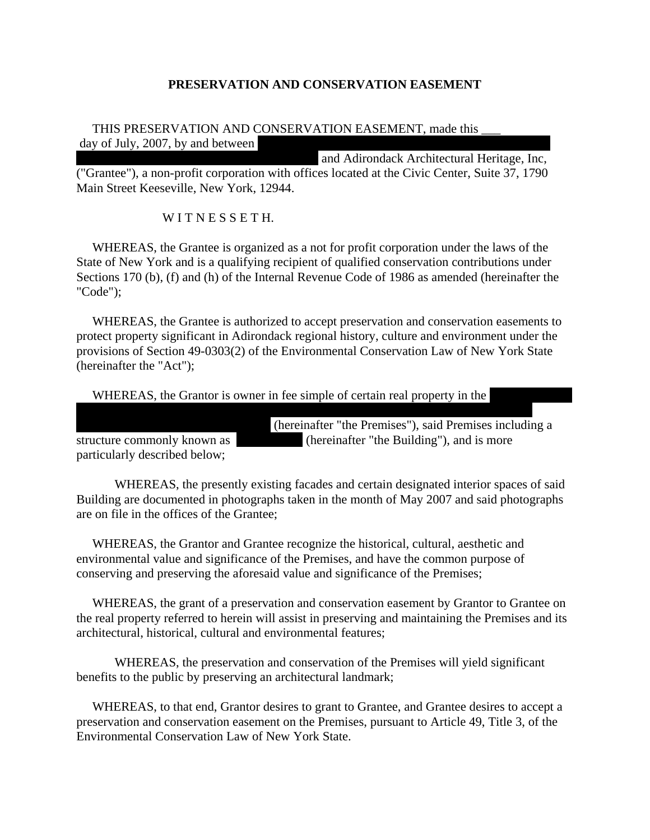## **PRESERVATION AND CONSERVATION EASEMENT**

## THIS PRESERVATION AND CONSERVATION EASEMENT, made this day of July,  $2007$ , by and between

and Adirondack Architectural Heritage, Inc, ("Grantee"), a non-profit corporation with offices located at the Civic Center, Suite 37, 1790 Main Street Keeseville, New York, 12944.

## WITNESSETH.

 WHEREAS, the Grantee is organized as a not for profit corporation under the laws of the State of New York and is a qualifying recipient of qualified conservation contributions under Sections 170 (b), (f) and (h) of the Internal Revenue Code of 1986 as amended (hereinafter the "Code");

 WHEREAS, the Grantee is authorized to accept preservation and conservation easements to protect property significant in Adirondack regional history, culture and environment under the provisions of Section 49-0303(2) of the Environmental Conservation Law of New York State (hereinafter the "Act");

WHEREAS, the Grantor is owner in fee simple of certain real property in the

Essex County, New York, located at 10918 NYS Route 9N, which property is hereinafter

particularly described below;

(hereinafter "the Premises"), said Premises including a structure commonly known as (hereinafter "the Building"), and is more

WHEREAS, the presently existing facades and certain designated interior spaces of said Building are documented in photographs taken in the month of May 2007 and said photographs are on file in the offices of the Grantee;

 WHEREAS, the Grantor and Grantee recognize the historical, cultural, aesthetic and environmental value and significance of the Premises, and have the common purpose of conserving and preserving the aforesaid value and significance of the Premises;

 WHEREAS, the grant of a preservation and conservation easement by Grantor to Grantee on the real property referred to herein will assist in preserving and maintaining the Premises and its architectural, historical, cultural and environmental features;

 WHEREAS, the preservation and conservation of the Premises will yield significant benefits to the public by preserving an architectural landmark;

 WHEREAS, to that end, Grantor desires to grant to Grantee, and Grantee desires to accept a preservation and conservation easement on the Premises, pursuant to Article 49, Title 3, of the Environmental Conservation Law of New York State.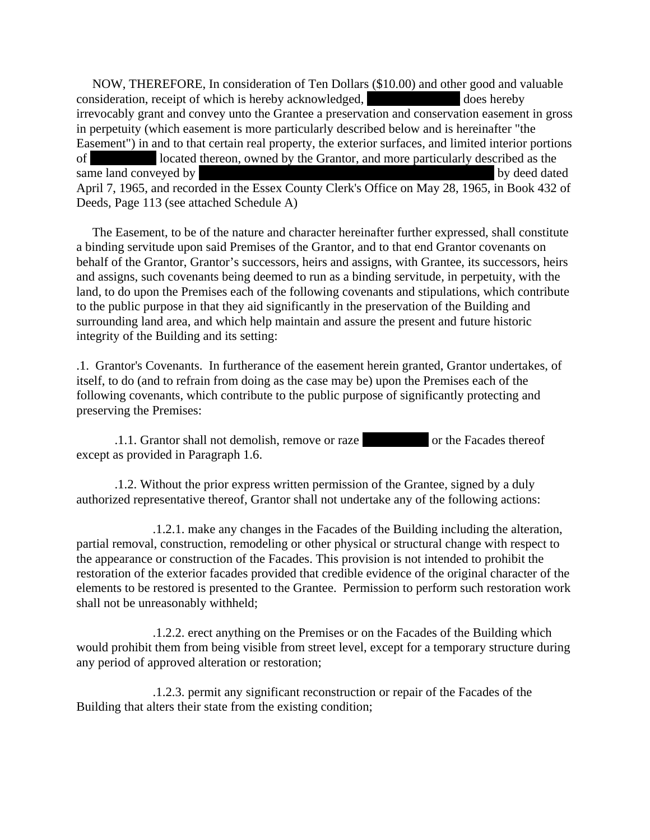NOW, THEREFORE, In consideration of Ten Dollars (\$10.00) and other good and valuable consideration, receipt of which is hereby acknowledged, does hereby irrevocably grant and convey unto the Grantee a preservation and conservation easement in gross in perpetuity (which easement is more particularly described below and is hereinafter "the Easement") in and to that certain real property, the exterior surfaces, and limited interior portions of "The Castle" located thereon, owned by the Grantor, and more particularly described as the same land conveyed by Helen B. Hale to Carolyn Schaefer and Mary M. Schaefer and Mary M. Schaefer and Mary M. Schaefer by deed dated April 7, 1965, and recorded in the Essex County Clerk's Office on May 28, 1965, in Book 432 of Deeds, Page 113 (see attached Schedule A)

 The Easement, to be of the nature and character hereinafter further expressed, shall constitute a binding servitude upon said Premises of the Grantor, and to that end Grantor covenants on behalf of the Grantor, Grantor's successors, heirs and assigns, with Grantee, its successors, heirs and assigns, such covenants being deemed to run as a binding servitude, in perpetuity, with the land, to do upon the Premises each of the following covenants and stipulations, which contribute to the public purpose in that they aid significantly in the preservation of the Building and surrounding land area, and which help maintain and assure the present and future historic integrity of the Building and its setting:

.1. Grantor's Covenants. In furtherance of the easement herein granted, Grantor undertakes, of itself, to do (and to refrain from doing as the case may be) upon the Premises each of the following covenants, which contribute to the public purpose of significantly protecting and preserving the Premises:

.1.1. Grantor shall not demolish, remove or raze The Facades thereof except as provided in Paragraph 1.6.

 .1.2. Without the prior express written permission of the Grantee, signed by a duly authorized representative thereof, Grantor shall not undertake any of the following actions:

 .1.2.1. make any changes in the Facades of the Building including the alteration, partial removal, construction, remodeling or other physical or structural change with respect to the appearance or construction of the Facades. This provision is not intended to prohibit the restoration of the exterior facades provided that credible evidence of the original character of the elements to be restored is presented to the Grantee. Permission to perform such restoration work shall not be unreasonably withheld;

 .1.2.2. erect anything on the Premises or on the Facades of the Building which would prohibit them from being visible from street level, except for a temporary structure during any period of approved alteration or restoration;

 .1.2.3. permit any significant reconstruction or repair of the Facades of the Building that alters their state from the existing condition;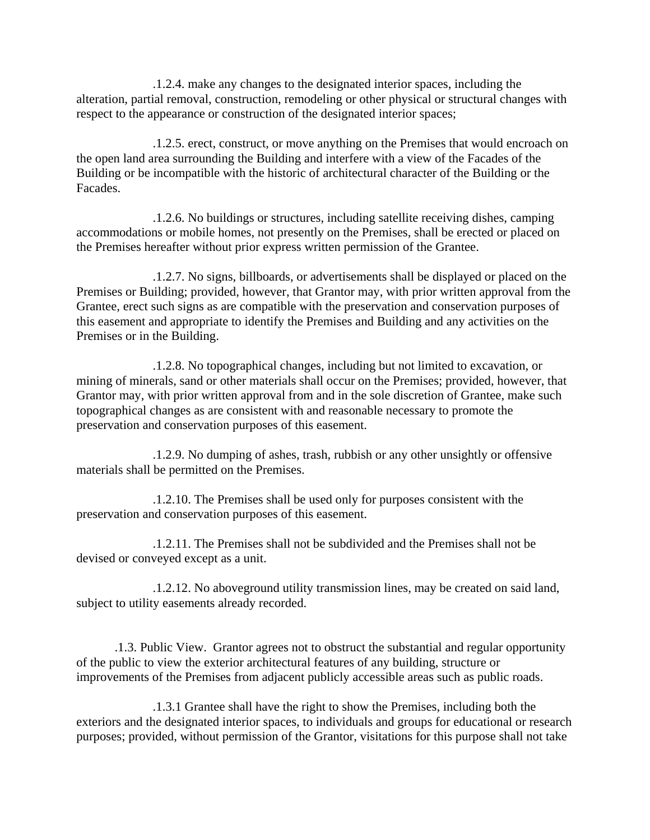.1.2.4. make any changes to the designated interior spaces, including the alteration, partial removal, construction, remodeling or other physical or structural changes with respect to the appearance or construction of the designated interior spaces;

.1.2.5. erect, construct, or move anything on the Premises that would encroach on the open land area surrounding the Building and interfere with a view of the Facades of the Building or be incompatible with the historic of architectural character of the Building or the Facades.

 .1.2.6. No buildings or structures, including satellite receiving dishes, camping accommodations or mobile homes, not presently on the Premises, shall be erected or placed on the Premises hereafter without prior express written permission of the Grantee.

 .1.2.7. No signs, billboards, or advertisements shall be displayed or placed on the Premises or Building; provided, however, that Grantor may, with prior written approval from the Grantee, erect such signs as are compatible with the preservation and conservation purposes of this easement and appropriate to identify the Premises and Building and any activities on the Premises or in the Building.

 .1.2.8. No topographical changes, including but not limited to excavation, or mining of minerals, sand or other materials shall occur on the Premises; provided, however, that Grantor may, with prior written approval from and in the sole discretion of Grantee, make such topographical changes as are consistent with and reasonable necessary to promote the preservation and conservation purposes of this easement.

 .1.2.9. No dumping of ashes, trash, rubbish or any other unsightly or offensive materials shall be permitted on the Premises.

 .1.2.10. The Premises shall be used only for purposes consistent with the preservation and conservation purposes of this easement.

 .1.2.11. The Premises shall not be subdivided and the Premises shall not be devised or conveyed except as a unit.

 .1.2.12. No aboveground utility transmission lines, may be created on said land, subject to utility easements already recorded.

 .1.3. Public View. Grantor agrees not to obstruct the substantial and regular opportunity of the public to view the exterior architectural features of any building, structure or improvements of the Premises from adjacent publicly accessible areas such as public roads.

 .1.3.1 Grantee shall have the right to show the Premises, including both the exteriors and the designated interior spaces, to individuals and groups for educational or research purposes; provided, without permission of the Grantor, visitations for this purpose shall not take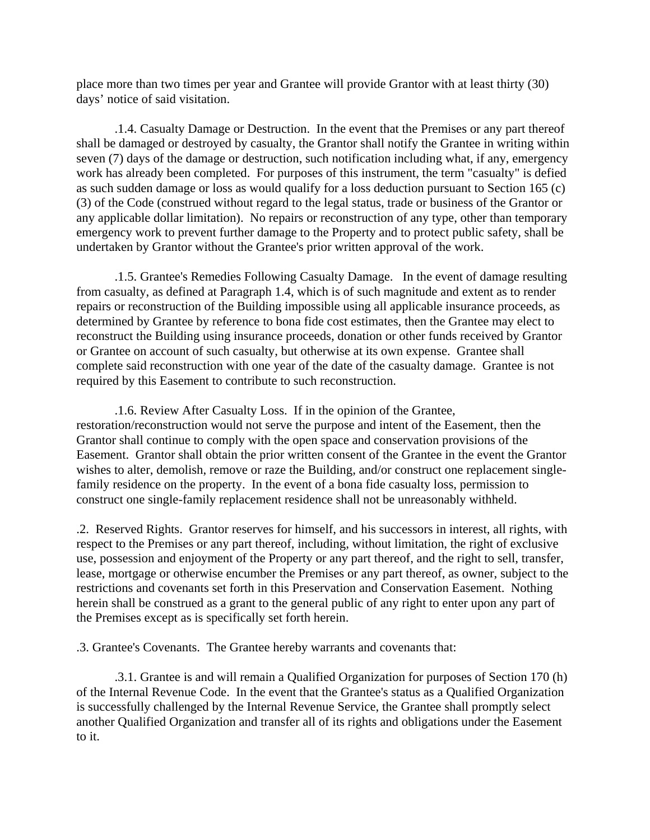place more than two times per year and Grantee will provide Grantor with at least thirty (30) days' notice of said visitation.

 .1.4. Casualty Damage or Destruction. In the event that the Premises or any part thereof shall be damaged or destroyed by casualty, the Grantor shall notify the Grantee in writing within seven (7) days of the damage or destruction, such notification including what, if any, emergency work has already been completed. For purposes of this instrument, the term "casualty" is defied as such sudden damage or loss as would qualify for a loss deduction pursuant to Section 165 (c) (3) of the Code (construed without regard to the legal status, trade or business of the Grantor or any applicable dollar limitation). No repairs or reconstruction of any type, other than temporary emergency work to prevent further damage to the Property and to protect public safety, shall be undertaken by Grantor without the Grantee's prior written approval of the work.

 .1.5. Grantee's Remedies Following Casualty Damage. In the event of damage resulting from casualty, as defined at Paragraph 1.4, which is of such magnitude and extent as to render repairs or reconstruction of the Building impossible using all applicable insurance proceeds, as determined by Grantee by reference to bona fide cost estimates, then the Grantee may elect to reconstruct the Building using insurance proceeds, donation or other funds received by Grantor or Grantee on account of such casualty, but otherwise at its own expense. Grantee shall complete said reconstruction with one year of the date of the casualty damage. Grantee is not required by this Easement to contribute to such reconstruction.

 .1.6. Review After Casualty Loss. If in the opinion of the Grantee, restoration/reconstruction would not serve the purpose and intent of the Easement, then the Grantor shall continue to comply with the open space and conservation provisions of the Easement. Grantor shall obtain the prior written consent of the Grantee in the event the Grantor wishes to alter, demolish, remove or raze the Building, and/or construct one replacement singlefamily residence on the property. In the event of a bona fide casualty loss, permission to construct one single-family replacement residence shall not be unreasonably withheld.

.2. Reserved Rights. Grantor reserves for himself, and his successors in interest, all rights, with respect to the Premises or any part thereof, including, without limitation, the right of exclusive use, possession and enjoyment of the Property or any part thereof, and the right to sell, transfer, lease, mortgage or otherwise encumber the Premises or any part thereof, as owner, subject to the restrictions and covenants set forth in this Preservation and Conservation Easement. Nothing herein shall be construed as a grant to the general public of any right to enter upon any part of the Premises except as is specifically set forth herein.

.3. Grantee's Covenants. The Grantee hereby warrants and covenants that:

 .3.1. Grantee is and will remain a Qualified Organization for purposes of Section 170 (h) of the Internal Revenue Code. In the event that the Grantee's status as a Qualified Organization is successfully challenged by the Internal Revenue Service, the Grantee shall promptly select another Qualified Organization and transfer all of its rights and obligations under the Easement to it.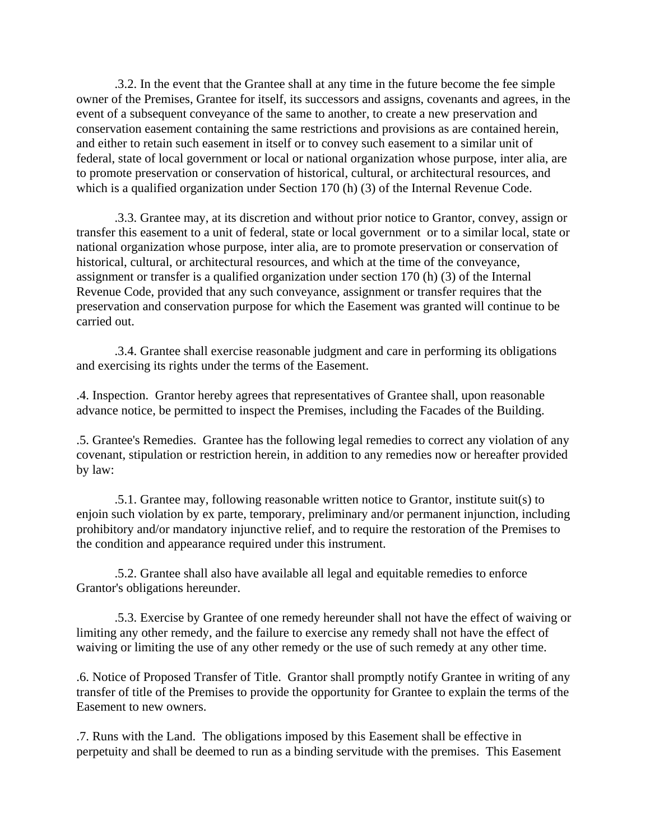.3.2. In the event that the Grantee shall at any time in the future become the fee simple owner of the Premises, Grantee for itself, its successors and assigns, covenants and agrees, in the event of a subsequent conveyance of the same to another, to create a new preservation and conservation easement containing the same restrictions and provisions as are contained herein, and either to retain such easement in itself or to convey such easement to a similar unit of federal, state of local government or local or national organization whose purpose, inter alia, are to promote preservation or conservation of historical, cultural, or architectural resources, and which is a qualified organization under Section 170 (h) (3) of the Internal Revenue Code.

 .3.3. Grantee may, at its discretion and without prior notice to Grantor, convey, assign or transfer this easement to a unit of federal, state or local government or to a similar local, state or national organization whose purpose, inter alia, are to promote preservation or conservation of historical, cultural, or architectural resources, and which at the time of the conveyance, assignment or transfer is a qualified organization under section 170 (h) (3) of the Internal Revenue Code, provided that any such conveyance, assignment or transfer requires that the preservation and conservation purpose for which the Easement was granted will continue to be carried out.

 .3.4. Grantee shall exercise reasonable judgment and care in performing its obligations and exercising its rights under the terms of the Easement.

.4. Inspection. Grantor hereby agrees that representatives of Grantee shall, upon reasonable advance notice, be permitted to inspect the Premises, including the Facades of the Building.

.5. Grantee's Remedies. Grantee has the following legal remedies to correct any violation of any covenant, stipulation or restriction herein, in addition to any remedies now or hereafter provided by law:

 .5.1. Grantee may, following reasonable written notice to Grantor, institute suit(s) to enjoin such violation by ex parte, temporary, preliminary and/or permanent injunction, including prohibitory and/or mandatory injunctive relief, and to require the restoration of the Premises to the condition and appearance required under this instrument.

 .5.2. Grantee shall also have available all legal and equitable remedies to enforce Grantor's obligations hereunder.

 .5.3. Exercise by Grantee of one remedy hereunder shall not have the effect of waiving or limiting any other remedy, and the failure to exercise any remedy shall not have the effect of waiving or limiting the use of any other remedy or the use of such remedy at any other time.

.6. Notice of Proposed Transfer of Title. Grantor shall promptly notify Grantee in writing of any transfer of title of the Premises to provide the opportunity for Grantee to explain the terms of the Easement to new owners.

.7. Runs with the Land. The obligations imposed by this Easement shall be effective in perpetuity and shall be deemed to run as a binding servitude with the premises. This Easement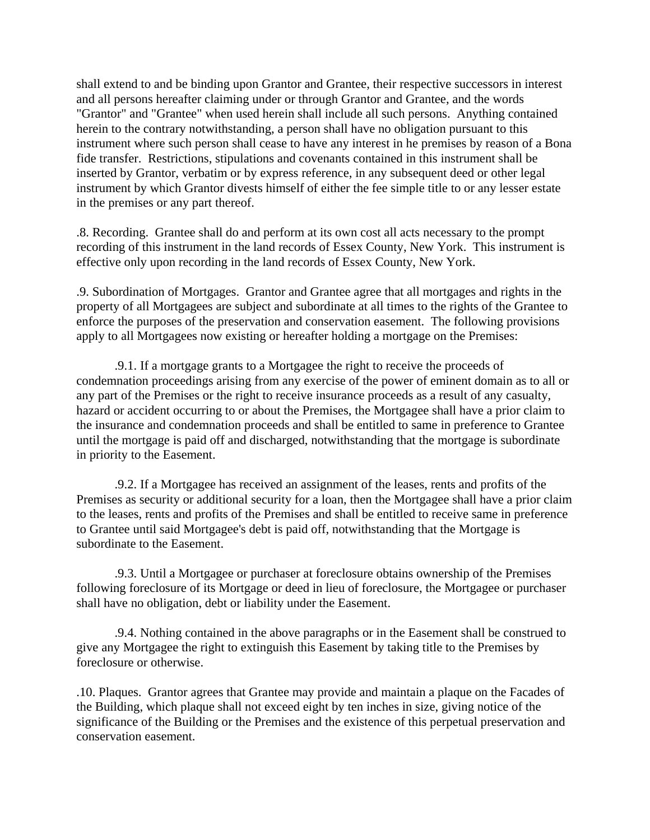shall extend to and be binding upon Grantor and Grantee, their respective successors in interest and all persons hereafter claiming under or through Grantor and Grantee, and the words "Grantor" and "Grantee" when used herein shall include all such persons. Anything contained herein to the contrary notwithstanding, a person shall have no obligation pursuant to this instrument where such person shall cease to have any interest in he premises by reason of a Bona fide transfer. Restrictions, stipulations and covenants contained in this instrument shall be inserted by Grantor, verbatim or by express reference, in any subsequent deed or other legal instrument by which Grantor divests himself of either the fee simple title to or any lesser estate in the premises or any part thereof.

.8. Recording. Grantee shall do and perform at its own cost all acts necessary to the prompt recording of this instrument in the land records of Essex County, New York. This instrument is effective only upon recording in the land records of Essex County, New York.

.9. Subordination of Mortgages. Grantor and Grantee agree that all mortgages and rights in the property of all Mortgagees are subject and subordinate at all times to the rights of the Grantee to enforce the purposes of the preservation and conservation easement. The following provisions apply to all Mortgagees now existing or hereafter holding a mortgage on the Premises:

 .9.1. If a mortgage grants to a Mortgagee the right to receive the proceeds of condemnation proceedings arising from any exercise of the power of eminent domain as to all or any part of the Premises or the right to receive insurance proceeds as a result of any casualty, hazard or accident occurring to or about the Premises, the Mortgagee shall have a prior claim to the insurance and condemnation proceeds and shall be entitled to same in preference to Grantee until the mortgage is paid off and discharged, notwithstanding that the mortgage is subordinate in priority to the Easement.

 .9.2. If a Mortgagee has received an assignment of the leases, rents and profits of the Premises as security or additional security for a loan, then the Mortgagee shall have a prior claim to the leases, rents and profits of the Premises and shall be entitled to receive same in preference to Grantee until said Mortgagee's debt is paid off, notwithstanding that the Mortgage is subordinate to the Easement.

 .9.3. Until a Mortgagee or purchaser at foreclosure obtains ownership of the Premises following foreclosure of its Mortgage or deed in lieu of foreclosure, the Mortgagee or purchaser shall have no obligation, debt or liability under the Easement.

 .9.4. Nothing contained in the above paragraphs or in the Easement shall be construed to give any Mortgagee the right to extinguish this Easement by taking title to the Premises by foreclosure or otherwise.

.10. Plaques. Grantor agrees that Grantee may provide and maintain a plaque on the Facades of the Building, which plaque shall not exceed eight by ten inches in size, giving notice of the significance of the Building or the Premises and the existence of this perpetual preservation and conservation easement.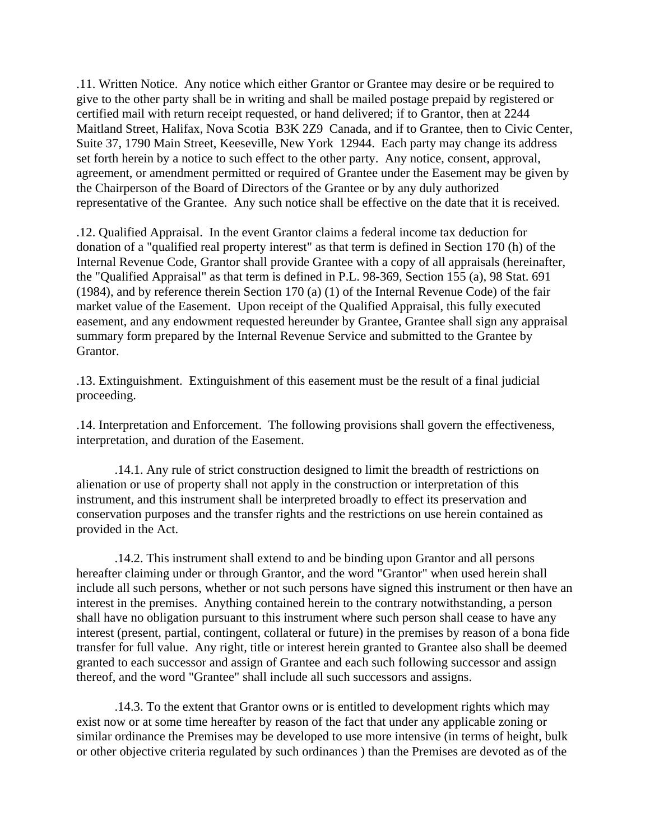.11. Written Notice. Any notice which either Grantor or Grantee may desire or be required to give to the other party shall be in writing and shall be mailed postage prepaid by registered or certified mail with return receipt requested, or hand delivered; if to Grantor, then at 2244 Maitland Street, Halifax, Nova Scotia B3K 2Z9 Canada, and if to Grantee, then to Civic Center, Suite 37, 1790 Main Street, Keeseville, New York 12944. Each party may change its address set forth herein by a notice to such effect to the other party. Any notice, consent, approval, agreement, or amendment permitted or required of Grantee under the Easement may be given by the Chairperson of the Board of Directors of the Grantee or by any duly authorized representative of the Grantee. Any such notice shall be effective on the date that it is received.

.12. Qualified Appraisal. In the event Grantor claims a federal income tax deduction for donation of a "qualified real property interest" as that term is defined in Section 170 (h) of the Internal Revenue Code, Grantor shall provide Grantee with a copy of all appraisals (hereinafter, the "Qualified Appraisal" as that term is defined in P.L. 98-369, Section 155 (a), 98 Stat. 691 (1984), and by reference therein Section 170 (a) (1) of the Internal Revenue Code) of the fair market value of the Easement. Upon receipt of the Qualified Appraisal, this fully executed easement, and any endowment requested hereunder by Grantee, Grantee shall sign any appraisal summary form prepared by the Internal Revenue Service and submitted to the Grantee by Grantor.

.13. Extinguishment. Extinguishment of this easement must be the result of a final judicial proceeding.

.14. Interpretation and Enforcement. The following provisions shall govern the effectiveness, interpretation, and duration of the Easement.

 .14.1. Any rule of strict construction designed to limit the breadth of restrictions on alienation or use of property shall not apply in the construction or interpretation of this instrument, and this instrument shall be interpreted broadly to effect its preservation and conservation purposes and the transfer rights and the restrictions on use herein contained as provided in the Act.

 .14.2. This instrument shall extend to and be binding upon Grantor and all persons hereafter claiming under or through Grantor, and the word "Grantor" when used herein shall include all such persons, whether or not such persons have signed this instrument or then have an interest in the premises. Anything contained herein to the contrary notwithstanding, a person shall have no obligation pursuant to this instrument where such person shall cease to have any interest (present, partial, contingent, collateral or future) in the premises by reason of a bona fide transfer for full value. Any right, title or interest herein granted to Grantee also shall be deemed granted to each successor and assign of Grantee and each such following successor and assign thereof, and the word "Grantee" shall include all such successors and assigns.

 .14.3. To the extent that Grantor owns or is entitled to development rights which may exist now or at some time hereafter by reason of the fact that under any applicable zoning or similar ordinance the Premises may be developed to use more intensive (in terms of height, bulk or other objective criteria regulated by such ordinances ) than the Premises are devoted as of the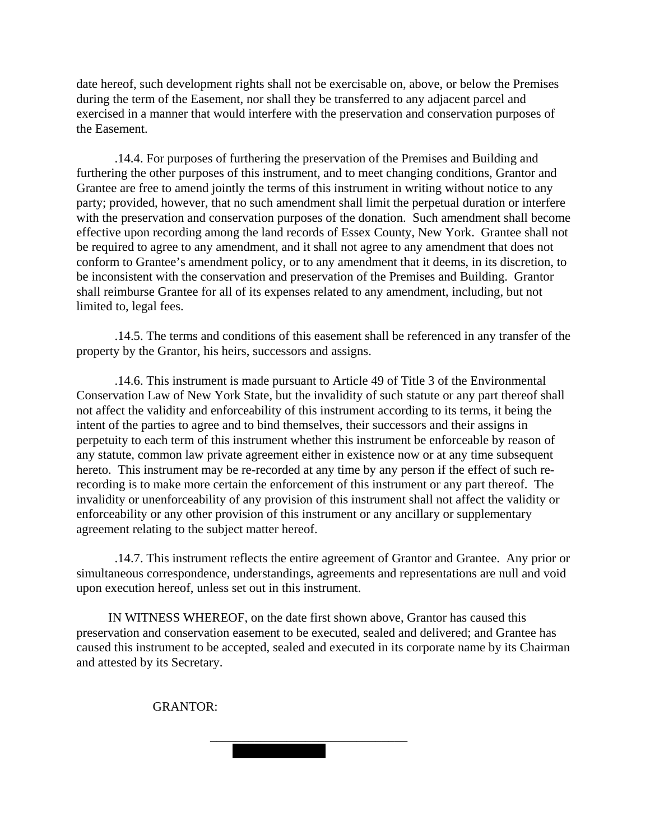date hereof, such development rights shall not be exercisable on, above, or below the Premises during the term of the Easement, nor shall they be transferred to any adjacent parcel and exercised in a manner that would interfere with the preservation and conservation purposes of the Easement.

 .14.4. For purposes of furthering the preservation of the Premises and Building and furthering the other purposes of this instrument, and to meet changing conditions, Grantor and Grantee are free to amend jointly the terms of this instrument in writing without notice to any party; provided, however, that no such amendment shall limit the perpetual duration or interfere with the preservation and conservation purposes of the donation. Such amendment shall become effective upon recording among the land records of Essex County, New York. Grantee shall not be required to agree to any amendment, and it shall not agree to any amendment that does not conform to Grantee's amendment policy, or to any amendment that it deems, in its discretion, to be inconsistent with the conservation and preservation of the Premises and Building. Grantor shall reimburse Grantee for all of its expenses related to any amendment, including, but not limited to, legal fees.

 .14.5. The terms and conditions of this easement shall be referenced in any transfer of the property by the Grantor, his heirs, successors and assigns.

 .14.6. This instrument is made pursuant to Article 49 of Title 3 of the Environmental Conservation Law of New York State, but the invalidity of such statute or any part thereof shall not affect the validity and enforceability of this instrument according to its terms, it being the intent of the parties to agree and to bind themselves, their successors and their assigns in perpetuity to each term of this instrument whether this instrument be enforceable by reason of any statute, common law private agreement either in existence now or at any time subsequent hereto. This instrument may be re-recorded at any time by any person if the effect of such rerecording is to make more certain the enforcement of this instrument or any part thereof. The invalidity or unenforceability of any provision of this instrument shall not affect the validity or enforceability or any other provision of this instrument or any ancillary or supplementary agreement relating to the subject matter hereof.

 .14.7. This instrument reflects the entire agreement of Grantor and Grantee. Any prior or simultaneous correspondence, understandings, agreements and representations are null and void upon execution hereof, unless set out in this instrument.

 IN WITNESS WHEREOF, on the date first shown above, Grantor has caused this preservation and conservation easement to be executed, sealed and delivered; and Grantee has caused this instrument to be accepted, sealed and executed in its corporate name by its Chairman and attested by its Secretary.

GRANTOR:

Mary M. Schaefer

 $\frac{1}{\sqrt{2}}$  ,  $\frac{1}{\sqrt{2}}$  ,  $\frac{1}{\sqrt{2}}$  ,  $\frac{1}{\sqrt{2}}$  ,  $\frac{1}{\sqrt{2}}$  ,  $\frac{1}{\sqrt{2}}$  ,  $\frac{1}{\sqrt{2}}$  ,  $\frac{1}{\sqrt{2}}$  ,  $\frac{1}{\sqrt{2}}$  ,  $\frac{1}{\sqrt{2}}$  ,  $\frac{1}{\sqrt{2}}$  ,  $\frac{1}{\sqrt{2}}$  ,  $\frac{1}{\sqrt{2}}$  ,  $\frac{1}{\sqrt{2}}$  ,  $\frac{1}{\sqrt{2}}$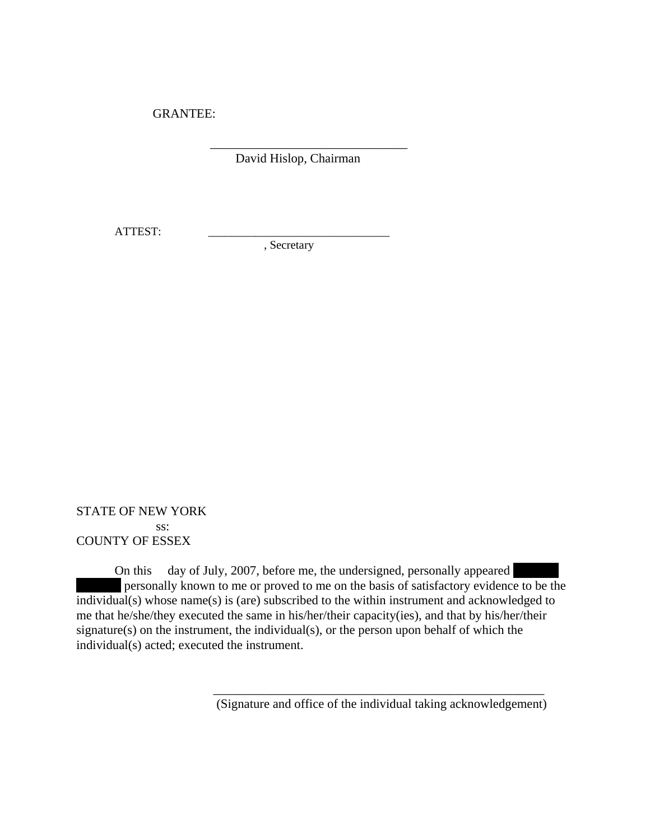GRANTEE:

David Hislop, Chairman

 $\frac{1}{\sqrt{2}}$  ,  $\frac{1}{\sqrt{2}}$  ,  $\frac{1}{\sqrt{2}}$  ,  $\frac{1}{\sqrt{2}}$  ,  $\frac{1}{\sqrt{2}}$  ,  $\frac{1}{\sqrt{2}}$  ,  $\frac{1}{\sqrt{2}}$  ,  $\frac{1}{\sqrt{2}}$  ,  $\frac{1}{\sqrt{2}}$  ,  $\frac{1}{\sqrt{2}}$  ,  $\frac{1}{\sqrt{2}}$  ,  $\frac{1}{\sqrt{2}}$  ,  $\frac{1}{\sqrt{2}}$  ,  $\frac{1}{\sqrt{2}}$  ,  $\frac{1}{\sqrt{2}}$ 

ATTEST: \_\_\_\_\_\_\_\_\_\_\_\_\_\_\_\_\_\_\_\_\_\_\_\_\_\_\_\_\_\_\_

, Secretary

STATE OF NEW YORK ss: COUNTY OF ESSEX

On this day of July, 2007, before me, the undersigned, personally appeared personally known to me or proved to me on the basis of satisfactory evidence to be the individual(s) whose name(s) is (are) subscribed to the within instrument and acknowledged to me that he/she/they executed the same in his/her/their capacity(ies), and that by his/her/their signature(s) on the instrument, the individual(s), or the person upon behalf of which the individual(s) acted; executed the instrument.

(Signature and office of the individual taking acknowledgement)

\_\_\_\_\_\_\_\_\_\_\_\_\_\_\_\_\_\_\_\_\_\_\_\_\_\_\_\_\_\_\_\_\_\_\_\_\_\_\_\_\_\_\_\_\_\_\_\_\_\_\_\_